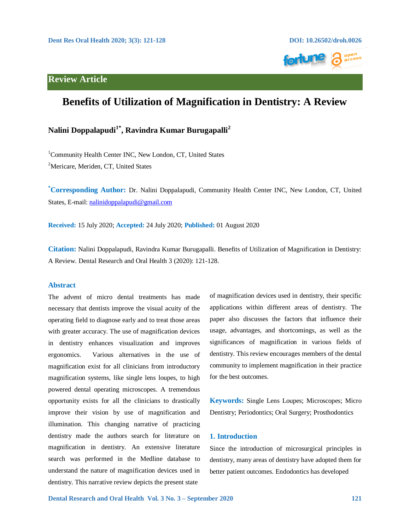

### **Review Article**

# **Benefits of Utilization of Magnification in Dentistry: A Review**

# **Nalini Doppalapudi1\*, Ravindra Kumar Burugapalli2**

1 Community Health Center INC, New London, CT, United States <sup>2</sup>Mericare, Meriden, CT, United States

**\* Corresponding Author:** Dr. Nalini Doppalapudi, Community Health Center INC, New London, CT, United States, E-mail[: nalinidoppalapudi@gmail.com](mailto:nalinidoppalapudi@gmail.com) 

**Received:** 15 July 2020; **Accepted:** 24 July 2020; **Published:** 01 August 2020

**Citation:** Nalini Doppalapudi, Ravindra Kumar Burugapalli. Benefits of Utilization of Magnification in Dentistry: A Review. Dental Research and Oral Health 3 (2020): 121-128.

#### **Abstract**

The advent of micro dental treatments has made necessary that dentists improve the visual acuity of the operating field to diagnose early and to treat those areas with greater accuracy. The use of magnification devices in dentistry enhances visualization and improves ergonomics. Various alternatives in the use of magnification exist for all clinicians from introductory magnification systems, like single lens loupes, to high powered dental operating microscopes. A tremendous opportunity exists for all the clinicians to drastically improve their vision by use of magnification and illumination. This changing narrative of practicing dentistry made the authors search for literature on magnification in dentistry. An extensive literature search was performed in the Medline database to understand the nature of magnification devices used in dentistry. This narrative review depicts the present state

of magnification devices used in dentistry, their specific applications within different areas of dentistry. The paper also discusses the factors that influence their usage, advantages, and shortcomings, as well as the significances of magnification in various fields of dentistry. This review encourages members of the dental community to implement magnification in their practice for the best outcomes.

**Keywords:** Single Lens Loupes; Microscopes; Micro Dentistry; Periodontics; Oral Surgery; Prosthodontics

#### **1. Introduction**

Since the introduction of microsurgical principles in dentistry, many areas of dentistry have adopted them for better patient outcomes. Endodontics has developed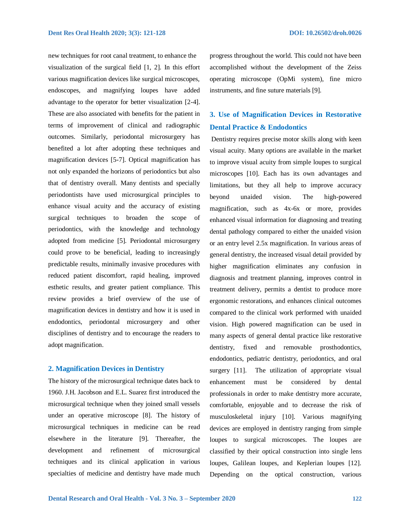new techniques for root canal treatment, to enhance the visualization of the surgical field [1, 2]. In this effort various magnification devices like surgical microscopes, endoscopes, and magnifying loupes have added advantage to the operator for better visualization [2-4]. These are also associated with benefits for the patient in terms of improvement of clinical and radiographic outcomes. Similarly, periodontal microsurgery has benefited a lot after adopting these techniques and magnification devices [5-7]. Optical magnification has not only expanded the horizons of periodontics but also that of dentistry overall. Many dentists and specially periodontists have used microsurgical principles to enhance visual acuity and the accuracy of existing surgical techniques to broaden the scope of periodontics, with the knowledge and technology adopted from medicine [5]. Periodontal microsurgery could prove to be beneficial, leading to increasingly predictable results, minimally invasive procedures with reduced patient discomfort, rapid healing, improved esthetic results, and greater patient compliance. This review provides a brief overview of the use of magnification devices in dentistry and how it is used in endodontics, periodontal microsurgery and other disciplines of dentistry and to encourage the readers to adopt magnification.

#### **2. Magnification Devices in Dentistry**

The history of the microsurgical technique dates back to 1960. J.H. Jacobson and E.L. Suarez first introduced the microsurgical technique when they joined small vessels under an operative microscope [8]. The history of microsurgical techniques in medicine can be read elsewhere in the literature [9]. Thereafter, the development and refinement of microsurgical techniques and its clinical application in various specialties of medicine and dentistry have made much progress throughout the world. This could not have been accomplished without the development of the Zeiss operating microscope (OpMi system), fine micro instruments, and fine suture materials [9].

# **3. Use of Magnification Devices in Restorative Dental Practice & Endodontics**

Dentistry requires precise motor skills along with keen visual acuity. Many options are available in the market to improve visual acuity from simple loupes to surgical microscopes [10]. Each has its own advantages and limitations, but they all help to improve accuracy beyond unaided vision. The high-powered magnification, such as 4x-6x or more, provides enhanced visual information for diagnosing and treating dental pathology compared to either the unaided vision or an entry level 2.5x magnification. In various areas of general dentistry, the increased visual detail provided by higher magnification eliminates any confusion in diagnosis and treatment planning, improves control in treatment delivery, permits a dentist to produce more ergonomic restorations, and enhances clinical outcomes compared to the clinical work performed with unaided vision. High powered magnification can be used in many aspects of general dental practice like restorative dentistry, fixed and removable prosthodontics, endodontics, pediatric dentistry, periodontics, and oral surgery [11]. The utilization of appropriate visual enhancement must be considered by dental professionals in order to make dentistry more accurate, comfortable, enjoyable and to decrease the risk of musculoskeletal injury [10]. Various magnifying devices are employed in dentistry ranging from simple loupes to surgical microscopes. The loupes are classified by their optical construction into single lens loupes, Galilean loupes, and Keplerian loupes [12]. Depending on the optical construction, various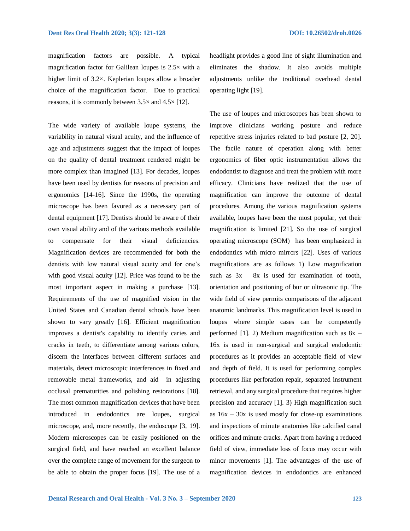magnification factors are possible. A typical magnification factor for Galilean loupes is  $2.5\times$  with a higher limit of 3.2×. Keplerian loupes allow a broader choice of the magnification factor. Due to practical reasons, it is commonly between  $3.5\times$  and  $4.5\times$  [12].

The wide variety of available loupe systems, the variability in natural visual acuity, and the influence of age and adjustments suggest that the impact of loupes on the quality of dental treatment rendered might be more complex than imagined [13]. For decades, loupes have been used by dentists for reasons of precision and ergonomics [14-16]. Since the 1990s, the operating microscope has been favored as a necessary part of dental equipment [17]. Dentists should be aware of their own visual ability and of the various methods available to compensate for their visual deficiencies. Magnification devices are recommended for both the dentists with low natural visual acuity and for one's with good visual acuity [12]. Price was found to be the most important aspect in making a purchase [13]. Requirements of the use of magnified vision in the United States and Canadian dental schools have been shown to vary greatly [16]. Efficient magnification improves a dentist's capability to identify caries and cracks in teeth, to differentiate among various colors, discern the interfaces between different surfaces and materials, detect microscopic interferences in fixed and removable metal frameworks, and aid in adjusting occlusal prematurities and polishing restorations [18]. The most common magnification devices that have been introduced in endodontics are loupes, surgical microscope, and, more recently, the endoscope [3, 19]. Modern microscopes can be easily positioned on the surgical field, and have reached an excellent balance over the complete range of movement for the surgeon to be able to obtain the proper focus [19]. The use of a headlight provides a good line of sight illumination and eliminates the shadow. It also avoids multiple adjustments unlike the traditional overhead dental operating light [19].

The use of loupes and microscopes has been shown to improve clinicians working posture and reduce repetitive stress injuries related to bad posture [2, 20]. The facile nature of operation along with better ergonomics of fiber optic instrumentation allows the endodontist to diagnose and treat the problem with more efficacy. Clinicians have realized that the use of magnification can improve the outcome of dental procedures. Among the various magnification systems available, loupes have been the most popular, yet their magnification is limited [21]. So the use of surgical operating microscope (SOM) has been emphasized in endodontics with micro mirrors [22]. Uses of various magnifications are as follows 1) Low magnification such as  $3x - 8x$  is used for examination of tooth, orientation and positioning of bur or ultrasonic tip. The wide field of view permits comparisons of the adjacent anatomic landmarks. This magnification level is used in loupes where simple cases can be competently performed [1]. 2) Medium magnification such as  $8x -$ 16x is used in non-surgical and surgical endodontic procedures as it provides an acceptable field of view and depth of field. It is used for performing complex procedures like perforation repair, separated instrument retrieval, and any surgical procedure that requires higher precision and accuracy [1]. 3) High magnification such as  $16x - 30x$  is used mostly for close-up examinations and inspections of minute anatomies like calcified canal orifices and minute cracks. Apart from having a reduced field of view, immediate loss of focus may occur with minor movements [1]. The advantages of the use of magnification devices in endodontics are enhanced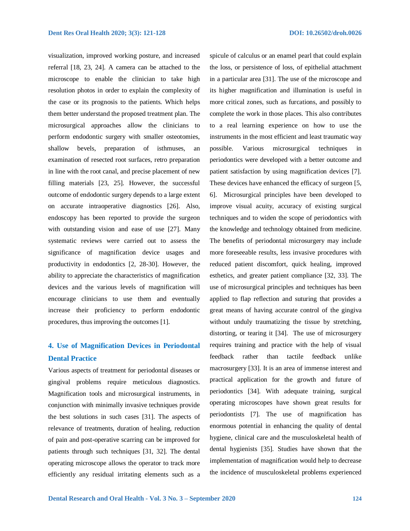visualization, improved working posture, and increased referral [18, 23, 24]. A camera can be attached to the microscope to enable the clinician to take high resolution photos in order to explain the complexity of the case or its prognosis to the patients. Which helps them better understand the proposed treatment plan. The microsurgical approaches allow the clinicians to perform endodontic surgery with smaller osteotomies, shallow bevels, preparation of isthmuses, an examination of resected root surfaces, retro preparation in line with the root canal, and precise placement of new filling materials [23, 25]. However, the successful outcome of endodontic surgery depends to a large extent on accurate intraoperative diagnostics [26]. Also, endoscopy has been reported to provide the surgeon with outstanding vision and ease of use [27]. Many systematic reviews were carried out to assess the significance of magnification device usages and productivity in endodontics [2, 28-30]. However, the ability to appreciate the characteristics of magnification devices and the various levels of magnification will encourage clinicians to use them and eventually increase their proficiency to perform endodontic procedures, thus improving the outcomes [1].

# **4. Use of Magnification Devices in Periodontal Dental Practice**

Various aspects of treatment for periodontal diseases or gingival problems require meticulous diagnostics. Magnification tools and microsurgical instruments, in conjunction with minimally invasive techniques provide the best solutions in such cases [31]. The aspects of relevance of treatments, duration of healing, reduction of pain and post-operative scarring can be improved for patients through such techniques [31, 32]. The dental operating microscope allows the operator to track more efficiently any residual irritating elements such as a spicule of calculus or an enamel pearl that could explain the loss, or persistence of loss, of epithelial attachment in a particular area [31]. The use of the microscope and its higher magnification and illumination is useful in more critical zones, such as furcations, and possibly to complete the work in those places. This also contributes to a real learning experience on how to use the instruments in the most efficient and least traumatic way possible. Various microsurgical techniques in periodontics were developed with a better outcome and patient satisfaction by using magnification devices [7]. These devices have enhanced the efficacy of surgeon [5, 6]. Microsurgical principles have been developed to improve visual acuity, accuracy of existing surgical techniques and to widen the scope of periodontics with the knowledge and technology obtained from medicine. The benefits of periodontal microsurgery may include more foreseeable results, less invasive procedures with reduced patient discomfort, quick healing, improved esthetics, and greater patient compliance [32, 33]. The use of microsurgical principles and techniques has been applied to flap reflection and suturing that provides a great means of having accurate control of the gingiva without unduly traumatizing the tissue by stretching, distorting, or tearing it [34]. The use of microsurgery requires training and practice with the help of visual feedback rather than tactile feedback unlike macrosurgery [33]. It is an area of immense interest and practical application for the growth and future of periodontics [34]. With adequate training, surgical operating microscopes have shown great results for periodontists [7]. The use of magnification has enormous potential in enhancing the quality of dental hygiene, clinical care and the musculoskeletal health of dental hygienists [35]. Studies have shown that the implementation of magnification would help to decrease the incidence of musculoskeletal problems experienced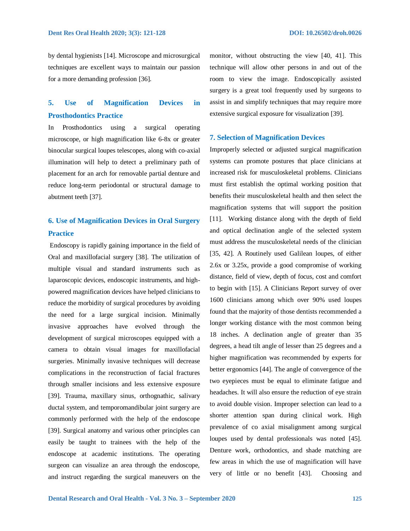by dental hygienists [14]. Microscope and microsurgical techniques are excellent ways to maintain our passion for a more demanding profession [36].

# **5. Use of Magnification Devices in Prosthodontics Practice**

In Prosthodontics using a surgical operating microscope, or high magnification like 6-8x or greater binocular surgical loupes telescopes, along with co-axial illumination will help to detect a preliminary path of placement for an arch for removable partial denture and reduce long-term periodontal or structural damage to abutment teeth [37].

# **6. Use of Magnification Devices in Oral Surgery Practice**

Endoscopy is rapidly gaining importance in the field of Oral and maxillofacial surgery [38]. The utilization of multiple visual and standard instruments such as laparoscopic devices, endoscopic instruments, and highpowered magnification devices have helped clinicians to reduce the morbidity of surgical procedures by avoiding the need for a large surgical incision. Minimally invasive approaches have evolved through the development of surgical microscopes equipped with a camera to obtain visual images for maxillofacial surgeries. Minimally invasive techniques will decrease complications in the reconstruction of facial fractures through smaller incisions and less extensive exposure [39]. Trauma, maxillary sinus, orthognathic, salivary ductal system, and temporomandibular joint surgery are commonly performed with the help of the endoscope [39]. Surgical anatomy and various other principles can easily be taught to trainees with the help of the endoscope at academic institutions. The operating surgeon can visualize an area through the endoscope, and instruct regarding the surgical maneuvers on the monitor, without obstructing the view [40, 41]. This technique will allow other persons in and out of the room to view the image. Endoscopically assisted surgery is a great tool frequently used by surgeons to assist in and simplify techniques that may require more extensive surgical exposure for visualization [39].

#### **7. Selection of Magnification Devices**

Improperly selected or adjusted surgical magnification systems can promote postures that place clinicians at increased risk for musculoskeletal problems. Clinicians must first establish the optimal working position that benefits their musculoskeletal health and then select the magnification systems that will support the position [11]. Working distance along with the depth of field and optical declination angle of the selected system must address the musculoskeletal needs of the clinician [35, 42]. A Routinely used Galilean loupes, of either 2.6x or 3.25x, provide a good compromise of working distance, field of view, depth of focus, cost and comfort to begin with [15]. A Clinicians Report survey of over 1600 clinicians among which over 90% used loupes found that the majority of those dentists recommended a longer working distance with the most common being 18 inches. A declination angle of greater than 35 degrees, a head tilt angle of lesser than 25 degrees and a higher magnification was recommended by experts for better ergonomics [44]. The angle of convergence of the two eyepieces must be equal to eliminate fatigue and headaches. It will also ensure the reduction of eye strain to avoid double vision. Improper selection can lead to a shorter attention span during clinical work. High prevalence of co axial misalignment among surgical loupes used by dental professionals was noted [45]. Denture work, orthodontics, and shade matching are few areas in which the use of magnification will have very of little or no benefit [43]. Choosing and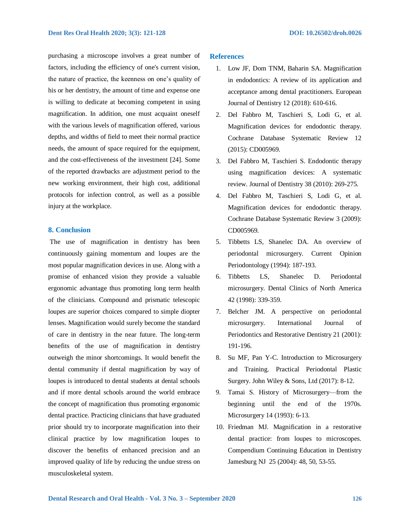purchasing a microscope involves a great number of factors, including the efficiency of one's current vision, the nature of practice, the keenness on one's quality of his or her dentistry, the amount of time and expense one is willing to dedicate at becoming competent in using magnification. In addition, one must acquaint oneself with the various levels of magnification offered, various depths, and widths of field to meet their normal practice needs, the amount of space required for the equipment, and the cost-effectiveness of the investment [24]. Some of the reported drawbacks are adjustment period to the new working environment, their high cost, additional protocols for infection control, as well as a possible injury at the workplace.

#### **8. Conclusion**

The use of magnification in dentistry has been continuously gaining momentum and loupes are the most popular magnification devices in use. Along with a promise of enhanced vision they provide a valuable ergonomic advantage thus promoting long term health of the clinicians. Compound and prismatic telescopic loupes are superior choices compared to simple diopter lenses. Magnification would surely become the standard of care in dentistry in the near future. The long-term benefits of the use of magnification in dentistry outweigh the minor shortcomings. It would benefit the dental community if dental magnification by way of loupes is introduced to dental students at dental schools and if more dental schools around the world embrace the concept of magnification thus promoting ergonomic dental practice. Practicing clinicians that have graduated prior should try to incorporate magnification into their clinical practice by low magnification loupes to discover the benefits of enhanced precision and an improved quality of life by reducing the undue stress on musculoskeletal system.

#### **References**

- 1. Low JF, Dom TNM, Baharin SA. Magnification in endodontics: A review of its application and acceptance among dental practitioners. European Journal of Dentistry 12 (2018): 610-616.
- 2. Del Fabbro M, Taschieri S, Lodi G, et al. Magnification devices for endodontic therapy. Cochrane Database Systematic Review 12 (2015): CD005969.
- 3. Del Fabbro M, Taschieri S. Endodontic therapy using magnification devices: A systematic review. Journal of Dentistry 38 (2010): 269-275.
- 4. Del Fabbro M, Taschieri S, Lodi G, et al. Magnification devices for endodontic therapy. Cochrane Database Systematic Review 3 (2009): CD005969.
- 5. Tibbetts LS, Shanelec DA. An overview of periodontal microsurgery. Current Opinion Periodontology (1994): 187-193.
- 6. Tibbetts LS, Shanelec D. Periodontal microsurgery. Dental Clinics of North America 42 (1998): 339-359.
- 7. Belcher JM. A perspective on periodontal microsurgery. International Journal of Periodontics and Restorative Dentistry 21 (2001): 191-196.
- 8. Su MF, Pan Y-C. Introduction to Microsurgery and Training. Practical Periodontal Plastic Surgery. John Wiley & Sons, Ltd (2017): 8-12.
- 9. Tamai S. History of Microsurgery—from the beginning until the end of the 1970s. Microsurgery 14 (1993): 6-13.
- 10. Friedman MJ. Magnification in a restorative dental practice: from loupes to microscopes. Compendium Continuing Education in Dentistry Jamesburg NJ 25 (2004): 48, 50, 53-55.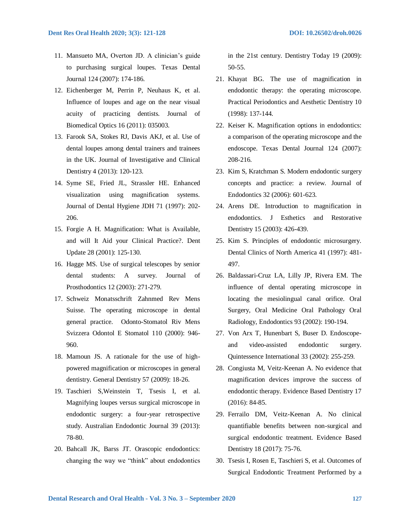- 11. Mansueto MA, Overton JD. A clinician's guide to purchasing surgical loupes. Texas Dental Journal 124 (2007): 174-186.
- 12. Eichenberger M, Perrin P, Neuhaus K, et al. Influence of loupes and age on the near visual acuity of practicing dentists. Journal of Biomedical Optics 16 (2011): 035003.
- 13. Farook SA, Stokes RJ, Davis AKJ, et al. Use of dental loupes among dental trainers and trainees in the UK. Journal of Investigative and Clinical Dentistry 4 (2013): 120-123.
- 14. Syme SE, Fried JL, Strassler HE. Enhanced visualization using magnification systems. Journal of Dental Hygiene JDH 71 (1997): 202- 206.
- 15. Forgie A H. Magnification: What is Available, and will It Aid your Clinical Practice?. Dent Update 28 (2001): 125-130.
- 16. Hagge MS. Use of surgical telescopes by senior dental students: A survey. Journal of Prosthodontics 12 (2003): 271-279.
- 17. Schweiz Monatsschrift Zahnmed Rev Mens Suisse. The operating microscope in dental general practice. Odonto-Stomatol Riv Mens Svizzera Odontol E Stomatol 110 (2000): 946- 960.
- 18. Mamoun JS. A rationale for the use of highpowered magnification or microscopes in general dentistry. General Dentistry 57 (2009): 18-26.
- 19. Taschieri S,Weinstein T, Tsesis I, et al. Magnifying loupes versus surgical microscope in endodontic surgery: a four-year retrospective study. Australian Endodontic Journal 39 (2013): 78-80.
- 20. Bahcall JK, Barss JT. Orascopic endodontics: changing the way we "think" about endodontics

in the 21st century. Dentistry Today 19 (2009): 50-55.

- 21. Khayat BG. The use of magnification in endodontic therapy: the operating microscope. Practical Periodontics and Aesthetic Dentistry 10 (1998): 137-144.
- 22. Keiser K. Magnification options in endodontics: a comparison of the operating microscope and the endoscope. Texas Dental Journal 124 (2007): 208-216.
- 23. Kim S, Kratchman S. Modern endodontic surgery concepts and practice: a review. Journal of Endodontics 32 (2006): 601-623.
- 24. Arens DE. Introduction to magnification in endodontics. J Esthetics and Restorative Dentistry 15 (2003): 426-439.
- 25. Kim S. Principles of endodontic microsurgery. Dental Clinics of North America 41 (1997): 481- 497.
- 26. Baldassari-Cruz LA, Lilly JP, Rivera EM. The influence of dental operating microscope in locating the mesiolingual canal orifice. Oral Surgery, Oral Medicine Oral Pathology Oral Radiology, Endodontics 93 (2002): 190-194.
- 27. Von Arx T, Hunenbart S, Buser D. Endoscopeand video-assisted endodontic surgery. Quintessence International 33 (2002): 255-259.
- 28. Congiusta M, Veitz-Keenan A. No evidence that magnification devices improve the success of endodontic therapy. Evidence Based Dentistry 17 (2016): 84-85.
- 29. Ferrailo DM, Veitz-Keenan A. No clinical quantifiable benefits between non-surgical and surgical endodontic treatment. Evidence Based Dentistry 18 (2017): 75-76.
- 30. Tsesis I, Rosen E, Taschieri S, et al. Outcomes of Surgical Endodontic Treatment Performed by a